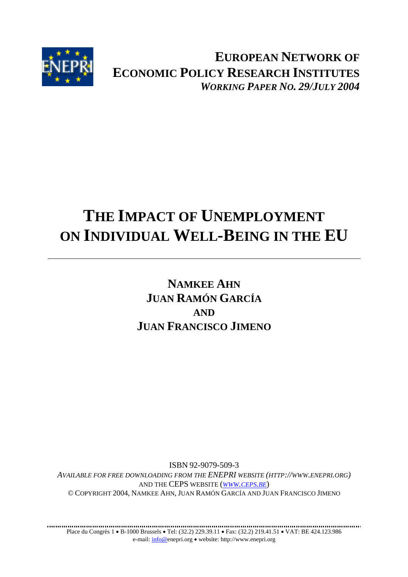

**EUROPEAN NETWORK OF ECONOMIC POLICY RESEARCH INSTITUTES** *WORKING PAPER NO. 29/JULY 2004*

# **THE IMPACT OF UNEMPLOYMENT ON INDIVIDUAL WELL-BEING IN THE EU**

## **NAMKEE AHN JUAN RAMÓN GARCÍA AND JUAN FRANCISCO JIMENO**

ISBN 92-9079-509-3 *AVAILABLE FOR FREE DOWNLOADING FROM THE ENEPRI WEBSITE (HTTP://WWW.ENEPRI.ORG)*  AND THE CEPS WEBSITE (*WWW.CEPS.BE*) © COPYRIGHT 2004, NAMKEE AHN, JUAN RAMÓN GARCÍA AND JUAN FRANCISCO JIMENO

. . . . . . . . . . . . . Place du Congrès 1 • B-1000 Brussels • Tel: (32.2) 229.39.11 • Fax: (32.2) 219.41.51 • VAT: BE 424.123.986 e-mail: info@enepri.org • website: http://www.enepri.org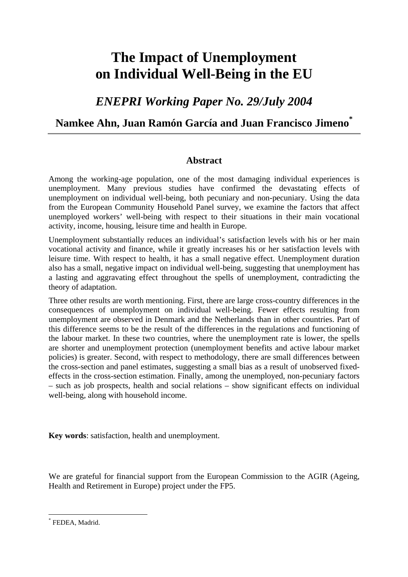## **The Impact of Unemployment on Individual Well-Being in the EU**

*ENEPRI Working Paper No. 29/July 2004* 

### **Namkee Ahn, Juan Ramón García and Juan Francisco Jimeno\***

#### **Abstract**

Among the working-age population, one of the most damaging individual experiences is unemployment. Many previous studies have confirmed the devastating effects of unemployment on individual well-being, both pecuniary and non-pecuniary. Using the data from the European Community Household Panel survey, we examine the factors that affect unemployed workers' well-being with respect to their situations in their main vocational activity, income, housing, leisure time and health in Europe.

Unemployment substantially reduces an individual's satisfaction levels with his or her main vocational activity and finance, while it greatly increases his or her satisfaction levels with leisure time. With respect to health, it has a small negative effect. Unemployment duration also has a small, negative impact on individual well-being, suggesting that unemployment has a lasting and aggravating effect throughout the spells of unemployment, contradicting the theory of adaptation.

Three other results are worth mentioning. First, there are large cross-country differences in the consequences of unemployment on individual well-being. Fewer effects resulting from unemployment are observed in Denmark and the Netherlands than in other countries. Part of this difference seems to be the result of the differences in the regulations and functioning of the labour market. In these two countries, where the unemployment rate is lower, the spells are shorter and unemployment protection (unemployment benefits and active labour market policies) is greater. Second, with respect to methodology, there are small differences between the cross-section and panel estimates, suggesting a small bias as a result of unobserved fixedeffects in the cross-section estimation. Finally, among the unemployed, non-pecuniary factors – such as job prospects, health and social relations – show significant effects on individual well-being, along with household income.

**Key words**: satisfaction, health and unemployment.

We are grateful for financial support from the European Commission to the AGIR (Ageing, Health and Retirement in Europe) project under the FP5.

 $\overline{a}$ \* FEDEA, Madrid.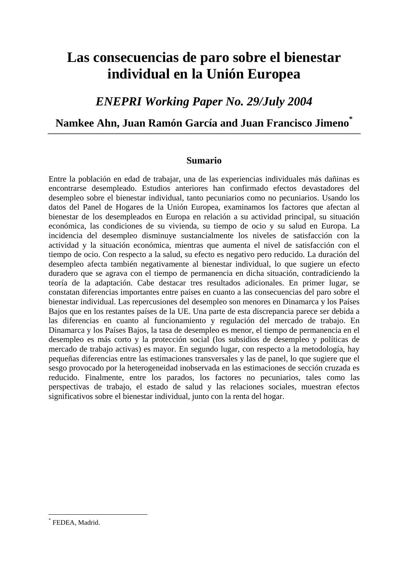## **Las consecuencias de paro sobre el bienestar individual en la Unión Europea**

## *ENEPRI Working Paper No. 29/July 2004*

### **Namkee Ahn, Juan Ramón García and Juan Francisco Jimeno\***

#### **Sumario**

Entre la población en edad de trabajar, una de las experiencias individuales más dañinas es encontrarse desempleado. Estudios anteriores han confirmado efectos devastadores del desempleo sobre el bienestar individual, tanto pecuniarios como no pecuniarios. Usando los datos del Panel de Hogares de la Unión Europea, examinamos los factores que afectan al bienestar de los desempleados en Europa en relación a su actividad principal, su situación económica, las condiciones de su vivienda, su tiempo de ocio y su salud en Europa. La incidencia del desempleo disminuye sustancialmente los niveles de satisfacción con la actividad y la situación económica, mientras que aumenta el nivel de satisfacción con el tiempo de ocio. Con respecto a la salud, su efecto es negativo pero reducido. La duración del desempleo afecta también negativamente al bienestar individual, lo que sugiere un efecto duradero que se agrava con el tiempo de permanencia en dicha situación, contradiciendo la teoría de la adaptación. Cabe destacar tres resultados adicionales. En primer lugar, se constatan diferencias importantes entre países en cuanto a las consecuencias del paro sobre el bienestar individual. Las repercusiones del desempleo son menores en Dinamarca y los Países Bajos que en los restantes países de la UE. Una parte de esta discrepancia parece ser debida a las diferencias en cuanto al funcionamiento y regulación del mercado de trabajo. En Dinamarca y los Países Bajos, la tasa de desempleo es menor, el tiempo de permanencia en el desempleo es más corto y la protección social (los subsidios de desempleo y políticas de mercado de trabajo activas) es mayor. En segundo lugar, con respecto a la metodología, hay pequeñas diferencias entre las estimaciones transversales y las de panel, lo que sugiere que el sesgo provocado por la heterogeneidad inobservada en las estimaciones de sección cruzada es reducido. Finalmente, entre los parados, los factores no pecuniarios, tales como las perspectivas de trabajo, el estado de salud y las relaciones sociales, muestran efectos significativos sobre el bienestar individual, junto con la renta del hogar.

 $\overline{a}$ 

<sup>\*</sup> FEDEA, Madrid.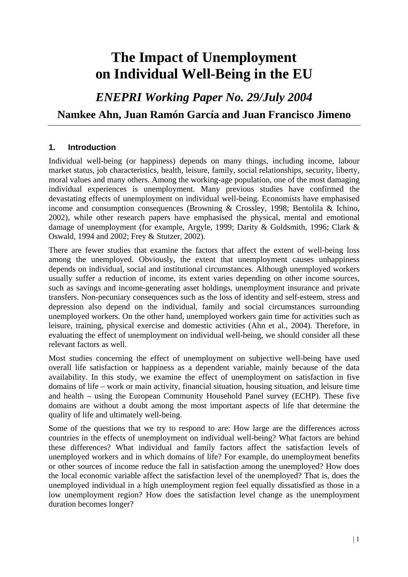## **The Impact of Unemployment on Individual Well-Being in the EU**

*ENEPRI Working Paper No. 29/July 2004* 

### **Namkee Ahn, Juan Ramón García and Juan Francisco Jimeno**

#### **1. Introduction**

Individual well-being (or happiness) depends on many things, including income, labour market status, job characteristics, health, leisure, family, social relationships, security, liberty, moral values and many others. Among the working-age population, one of the most damaging individual experiences is unemployment. Many previous studies have confirmed the devastating effects of unemployment on individual well-being. Economists have emphasised income and consumption consequences (Browning & Crossley, 1998; Bentolila & Ichino, 2002), while other research papers have emphasised the physical, mental and emotional damage of unemployment (for example, Argyle, 1999; Darity & Goldsmith, 1996; Clark & Oswald, 1994 and 2002; Frey & Stutzer, 2002).

There are fewer studies that examine the factors that affect the extent of well-being loss among the unemployed. Obviously, the extent that unemployment causes unhappiness depends on individual, social and institutional circumstances. Although unemployed workers usually suffer a reduction of income, its extent varies depending on other income sources, such as savings and income-generating asset holdings, unemployment insurance and private transfers. Non-pecuniary consequences such as the loss of identity and self-esteem, stress and depression also depend on the individual, family and social circumstances surrounding unemployed workers. On the other hand, unemployed workers gain time for activities such as leisure, training, physical exercise and domestic activities (Ahn et al., 2004). Therefore, in evaluating the effect of unemployment on individual well-being, we should consider all these relevant factors as well.

Most studies concerning the effect of unemployment on subjective well-being have used overall life satisfaction or happiness as a dependent variable, mainly because of the data availability. In this study, we examine the effect of unemployment on satisfaction in five domains of life – work or main activity, financial situation, housing situation, and leisure time and health – using the European Community Household Panel survey (ECHP). These five domains are without a doubt among the most important aspects of life that determine the quality of life and ultimately well-being.

Some of the questions that we try to respond to are: How large are the differences across countries in the effects of unemployment on individual well-being? What factors are behind these differences? What individual and family factors affect the satisfaction levels of unemployed workers and in which domains of life? For example, do unemployment benefits or other sources of income reduce the fall in satisfaction among the unemployed? How does the local economic variable affect the satisfaction level of the unemployed? That is, does the unemployed individual in a high unemployment region feel equally dissatisfied as those in a low unemployment region? How does the satisfaction level change as the unemployment duration becomes longer?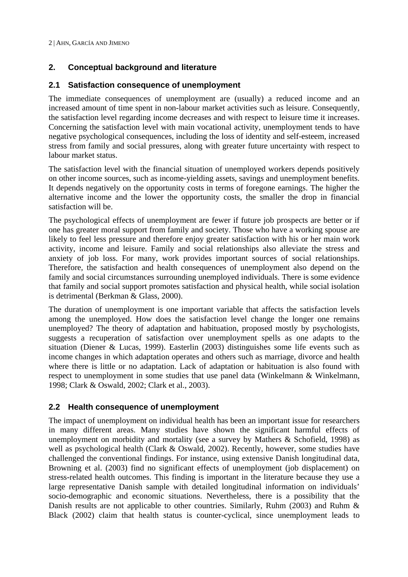#### **2. Conceptual background and literature**

#### **2.1 Satisfaction consequence of unemployment**

The immediate consequences of unemployment are (usually) a reduced income and an increased amount of time spent in non-labour market activities such as leisure. Consequently, the satisfaction level regarding income decreases and with respect to leisure time it increases. Concerning the satisfaction level with main vocational activity, unemployment tends to have negative psychological consequences, including the loss of identity and self-esteem, increased stress from family and social pressures, along with greater future uncertainty with respect to labour market status.

The satisfaction level with the financial situation of unemployed workers depends positively on other income sources, such as income-yielding assets, savings and unemployment benefits. It depends negatively on the opportunity costs in terms of foregone earnings. The higher the alternative income and the lower the opportunity costs, the smaller the drop in financial satisfaction will be.

The psychological effects of unemployment are fewer if future job prospects are better or if one has greater moral support from family and society. Those who have a working spouse are likely to feel less pressure and therefore enjoy greater satisfaction with his or her main work activity, income and leisure. Family and social relationships also alleviate the stress and anxiety of job loss. For many, work provides important sources of social relationships. Therefore, the satisfaction and health consequences of unemployment also depend on the family and social circumstances surrounding unemployed individuals. There is some evidence that family and social support promotes satisfaction and physical health, while social isolation is detrimental (Berkman & Glass, 2000).

The duration of unemployment is one important variable that affects the satisfaction levels among the unemployed. How does the satisfaction level change the longer one remains unemployed? The theory of adaptation and habituation, proposed mostly by psychologists, suggests a recuperation of satisfaction over unemployment spells as one adapts to the situation (Diener & Lucas, 1999). Easterlin (2003) distinguishes some life events such as income changes in which adaptation operates and others such as marriage, divorce and health where there is little or no adaptation. Lack of adaptation or habituation is also found with respect to unemployment in some studies that use panel data (Winkelmann & Winkelmann, 1998; Clark & Oswald, 2002; Clark et al., 2003).

#### **2.2 Health consequence of unemployment**

The impact of unemployment on individual health has been an important issue for researchers in many different areas. Many studies have shown the significant harmful effects of unemployment on morbidity and mortality (see a survey by Mathers & Schofield, 1998) as well as psychological health (Clark & Oswald, 2002). Recently, however, some studies have challenged the conventional findings. For instance, using extensive Danish longitudinal data, Browning et al. (2003) find no significant effects of unemployment (job displacement) on stress-related health outcomes. This finding is important in the literature because they use a large representative Danish sample with detailed longitudinal information on individuals' socio-demographic and economic situations. Nevertheless, there is a possibility that the Danish results are not applicable to other countries. Similarly, Ruhm (2003) and Ruhm & Black (2002) claim that health status is counter-cyclical, since unemployment leads to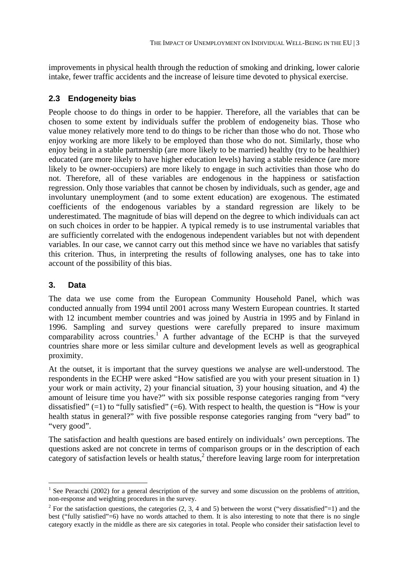improvements in physical health through the reduction of smoking and drinking, lower calorie intake, fewer traffic accidents and the increase of leisure time devoted to physical exercise.

#### **2.3 Endogeneity bias**

People choose to do things in order to be happier. Therefore, all the variables that can be chosen to some extent by individuals suffer the problem of endogeneity bias. Those who value money relatively more tend to do things to be richer than those who do not. Those who enjoy working are more likely to be employed than those who do not. Similarly, those who enjoy being in a stable partnership (are more likely to be married) healthy (try to be healthier) educated (are more likely to have higher education levels) having a stable residence (are more likely to be owner-occupiers) are more likely to engage in such activities than those who do not. Therefore, all of these variables are endogenous in the happiness or satisfaction regression. Only those variables that cannot be chosen by individuals, such as gender, age and involuntary unemployment (and to some extent education) are exogenous. The estimated coefficients of the endogenous variables by a standard regression are likely to be underestimated. The magnitude of bias will depend on the degree to which individuals can act on such choices in order to be happier. A typical remedy is to use instrumental variables that are sufficiently correlated with the endogenous independent variables but not with dependent variables. In our case, we cannot carry out this method since we have no variables that satisfy this criterion. Thus, in interpreting the results of following analyses, one has to take into account of the possibility of this bias.

#### **3. Data**

 $\overline{a}$ 

The data we use come from the European Community Household Panel, which was conducted annually from 1994 until 2001 across many Western European countries. It started with 12 incumbent member countries and was joined by Austria in 1995 and by Finland in 1996. Sampling and survey questions were carefully prepared to insure maximum comparability across countries.<sup>1</sup> A further advantage of the ECHP is that the surveyed countries share more or less similar culture and development levels as well as geographical proximity.

At the outset, it is important that the survey questions we analyse are well-understood. The respondents in the ECHP were asked "How satisfied are you with your present situation in 1) your work or main activity, 2) your financial situation, 3) your housing situation, and 4) the amount of leisure time you have?" with six possible response categories ranging from "very dissatisfied"  $(=1)$  to "fully satisfied"  $(=6)$ . With respect to health, the question is "How is your health status in general?" with five possible response categories ranging from "very bad" to "very good".

The satisfaction and health questions are based entirely on individuals' own perceptions. The questions asked are not concrete in terms of comparison groups or in the description of each  $\frac{1}{2}$  category of satisfaction levels or health status,<sup>2</sup> therefore leaving large room for interpretation

<sup>&</sup>lt;sup>1</sup> See Peracchi (2002) for a general description of the survey and some discussion on the problems of attrition, non-response and weighting procedures in the survey.

<sup>&</sup>lt;sup>2</sup> For the satisfaction questions, the categories  $(2, 3, 4 \text{ and } 5)$  between the worst ("very dissatisfied"=1) and the best ("fully satisfied"=6) have no words attached to them. It is also interesting to note that there is no single category exactly in the middle as there are six categories in total. People who consider their satisfaction level to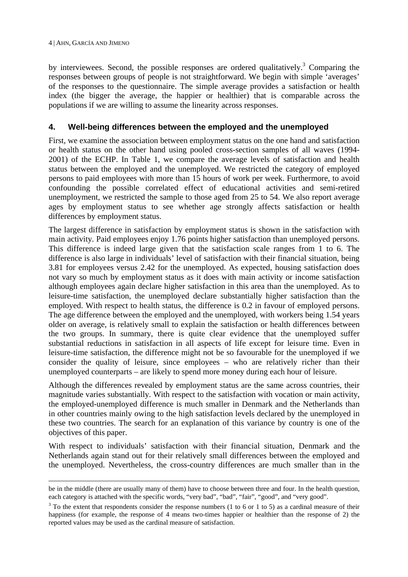by interviewees. Second, the possible responses are ordered qualitatively.<sup>3</sup> Comparing the responses between groups of people is not straightforward. We begin with simple 'averages' of the responses to the questionnaire. The simple average provides a satisfaction or health index (the bigger the average, the happier or healthier) that is comparable across the populations if we are willing to assume the linearity across responses.

#### **4. Well-being differences between the employed and the unemployed**

First, we examine the association between employment status on the one hand and satisfaction or health status on the other hand using pooled cross-section samples of all waves (1994- 2001) of the ECHP. In Table 1, we compare the average levels of satisfaction and health status between the employed and the unemployed. We restricted the category of employed persons to paid employees with more than 15 hours of work per week. Furthermore, to avoid confounding the possible correlated effect of educational activities and semi-retired unemployment, we restricted the sample to those aged from 25 to 54. We also report average ages by employment status to see whether age strongly affects satisfaction or health differences by employment status.

The largest difference in satisfaction by employment status is shown in the satisfaction with main activity. Paid employees enjoy 1.76 points higher satisfaction than unemployed persons. This difference is indeed large given that the satisfaction scale ranges from 1 to 6. The difference is also large in individuals' level of satisfaction with their financial situation, being 3.81 for employees versus 2.42 for the unemployed. As expected, housing satisfaction does not vary so much by employment status as it does with main activity or income satisfaction although employees again declare higher satisfaction in this area than the unemployed. As to leisure-time satisfaction, the unemployed declare substantially higher satisfaction than the employed. With respect to health status, the difference is 0.2 in favour of employed persons. The age difference between the employed and the unemployed, with workers being 1.54 years older on average, is relatively small to explain the satisfaction or health differences between the two groups. In summary, there is quite clear evidence that the unemployed suffer substantial reductions in satisfaction in all aspects of life except for leisure time. Even in leisure-time satisfaction, the difference might not be so favourable for the unemployed if we consider the quality of leisure, since employees – who are relatively richer than their unemployed counterparts – are likely to spend more money during each hour of leisure.

Although the differences revealed by employment status are the same across countries, their magnitude varies substantially. With respect to the satisfaction with vocation or main activity, the employed-unemployed difference is much smaller in Denmark and the Netherlands than in other countries mainly owing to the high satisfaction levels declared by the unemployed in these two countries. The search for an explanation of this variance by country is one of the objectives of this paper.

With respect to individuals' satisfaction with their financial situation, Denmark and the Netherlands again stand out for their relatively small differences between the employed and the unemployed. Nevertheless, the cross-country differences are much smaller than in the

be in the middle (there are usually many of them) have to choose between three and four. In the health question, each category is attached with the specific words, "very bad", "bad", "fair", "good", and "very good".

 $3$  To the extent that respondents consider the response numbers (1 to 6 or 1 to 5) as a cardinal measure of their happiness (for example, the response of 4 means two-times happier or healthier than the response of 2) the reported values may be used as the cardinal measure of satisfaction.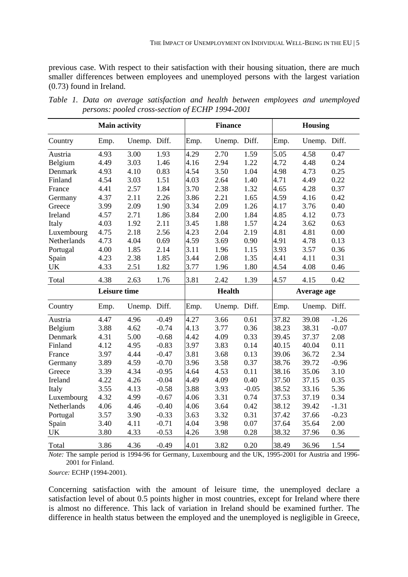previous case. With respect to their satisfaction with their housing situation, there are much smaller differences between employees and unemployed persons with the largest variation (0.73) found in Ireland.

|             | <b>Main activity</b> |              |         |      | <b>Finance</b> |         | <b>Housing</b> |              |         |  |
|-------------|----------------------|--------------|---------|------|----------------|---------|----------------|--------------|---------|--|
| Country     | Emp.                 | Unemp. Diff. |         | Emp. | Unemp. Diff.   |         | Emp.           | Unemp. Diff. |         |  |
| Austria     | 4.93                 | 3.00         | 1.93    | 4.29 | 2.70           | 1.59    | 5.05           | 4.58         | 0.47    |  |
| Belgium     | 4.49                 | 3.03         | 1.46    | 4.16 | 2.94           | 1.22    | 4.72           | 4.48         | 0.24    |  |
| Denmark     | 4.93                 | 4.10         | 0.83    | 4.54 | 3.50           | 1.04    | 4.98           | 4.73         | 0.25    |  |
| Finland     | 4.54                 | 3.03         | 1.51    | 4.03 | 2.64           | 1.40    | 4.71           | 4.49         | 0.22    |  |
| France      | 4.41                 | 2.57         | 1.84    | 3.70 | 2.38           | 1.32    | 4.65           | 4.28         | 0.37    |  |
| Germany     | 4.37                 | 2.11         | 2.26    | 3.86 | 2.21           | 1.65    | 4.59           | 4.16         | 0.42    |  |
| Greece      | 3.99                 | 2.09         | 1.90    | 3.34 | 2.09           | 1.26    | 4.17           | 3.76         | 0.40    |  |
| Ireland     | 4.57                 | 2.71         | 1.86    | 3.84 | 2.00           | 1.84    | 4.85           | 4.12         | 0.73    |  |
| Italy       | 4.03                 | 1.92         | 2.11    | 3.45 | 1.88           | 1.57    | 4.24           | 3.62         | 0.63    |  |
| Luxembourg  | 4.75                 | 2.18         | 2.56    | 4.23 | 2.04           | 2.19    | 4.81           | 4.81         | 0.00    |  |
| Netherlands | 4.73                 | 4.04         | 0.69    | 4.59 | 3.69           | 0.90    | 4.91           | 4.78         | 0.13    |  |
| Portugal    | 4.00                 | 1.85         | 2.14    | 3.11 | 1.96           | 1.15    | 3.93           | 3.57         | 0.36    |  |
| Spain       | 4.23                 | 2.38         | 1.85    | 3.44 | 2.08           | 1.35    | 4.41           | 4.11         | 0.31    |  |
| <b>UK</b>   | 4.33                 | 2.51         | 1.82    | 3.77 | 1.96           | 1.80    | 4.54           | 4.08         | 0.46    |  |
| Total       | 4.38                 | 2.63         | 1.76    | 3.81 | 2.42           | 1.39    | 4.57           | 4.15         | 0.42    |  |
|             | <b>Leisure time</b>  |              |         |      | <b>Health</b>  |         |                | Average age  |         |  |
| Country     | Emp.                 | Unemp. Diff. |         | Emp. | Unemp. Diff.   |         | Emp.           | Unemp. Diff. |         |  |
| Austria     | 4.47                 | 4.96         | $-0.49$ | 4.27 | 3.66           | 0.61    | 37.82          | 39.08        | $-1.26$ |  |
| Belgium     | 3.88                 | 4.62         | $-0.74$ | 4.13 | 3.77           | 0.36    | 38.23          | 38.31        | $-0.07$ |  |
| Denmark     | 4.31                 | 5.00         | $-0.68$ | 4.42 | 4.09           | 0.33    | 39.45          | 37.37        | 2.08    |  |
| Finland     | 4.12                 | 4.95         | $-0.83$ | 3.97 | 3.83           | 0.14    | 40.15          | 40.04        | 0.11    |  |
| France      | 3.97                 | 4.44         | $-0.47$ | 3.81 | 3.68           | 0.13    | 39.06          | 36.72        | 2.34    |  |
| Germany     | 3.89                 | 4.59         | $-0.70$ | 3.96 | 3.58           | 0.37    | 38.76          | 39.72        | $-0.96$ |  |
| Greece      | 3.39                 | 4.34         | $-0.95$ | 4.64 | 4.53           | 0.11    | 38.16          | 35.06        | 3.10    |  |
| Ireland     | 4.22                 | 4.26         | $-0.04$ | 4.49 | 4.09           | 0.40    | 37.50          | 37.15        | 0.35    |  |
| Italy       | 3.55                 | 4.13         | $-0.58$ | 3.88 | 3.93           | $-0.05$ | 38.52          | 33.16        | 5.36    |  |
| Luxembourg  | 4.32                 | 4.99         | $-0.67$ | 4.06 | 3.31           | 0.74    | 37.53          | 37.19        | 0.34    |  |
| Netherlands | 4.06                 | 4.46         | $-0.40$ | 4.06 | 3.64           | 0.42    | 38.12          | 39.42        | $-1.31$ |  |
| Portugal    | 3.57                 | 3.90         | $-0.33$ | 3.63 | 3.32           | 0.31    | 37.42          | 37.66        | $-0.23$ |  |
| Spain       | 3.40                 | 4.11         | $-0.71$ | 4.04 | 3.98           | 0.07    | 37.64          | 35.64        | 2.00    |  |
| UK          | 3.80                 | 4.33         | $-0.53$ | 4.26 | 3.98           | 0.28    | 38.32          | 37.96        | 0.36    |  |
| Total       | 3.86                 | 4.36         | $-0.49$ | 4.01 | 3.82           | 0.20    | 38.49          | 36.96        | 1.54    |  |

*Table 1. Data on average satisfaction and health between employees and unemployed persons: pooled cross-section of ECHP 1994-2001* 

*Note:* The sample period is 1994-96 for Germany, Luxembourg and the UK, 1995-2001 for Austria and 1996- 2001 for Finland.

*Source:* ECHP (1994-2001).

Concerning satisfaction with the amount of leisure time, the unemployed declare a satisfaction level of about 0.5 points higher in most countries, except for Ireland where there is almost no difference. This lack of variation in Ireland should be examined further. The difference in health status between the employed and the unemployed is negligible in Greece,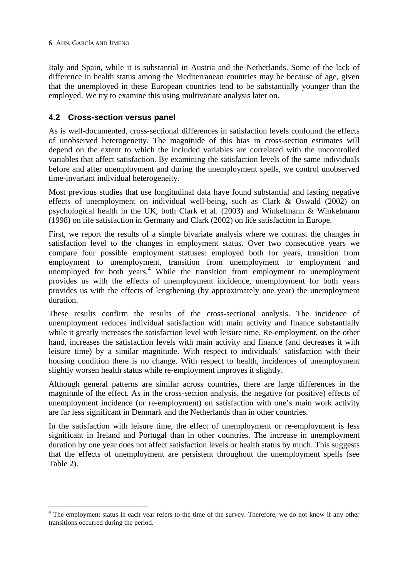$\overline{a}$ 

Italy and Spain, while it is substantial in Austria and the Netherlands. Some of the lack of difference in health status among the Mediterranean countries may be because of age, given that the unemployed in these European countries tend to be substantially younger than the employed. We try to examine this using multivariate analysis later on.

#### **4.2 Cross-section versus panel**

As is well-documented, cross-sectional differences in satisfaction levels confound the effects of unobserved heterogeneity. The magnitude of this bias in cross-section estimates will depend on the extent to which the included variables are correlated with the uncontrolled variables that affect satisfaction. By examining the satisfaction levels of the same individuals before and after unemployment and during the unemployment spells, we control unobserved time-invariant individual heterogeneity.

Most previous studies that use longitudinal data have found substantial and lasting negative effects of unemployment on individual well-being, such as Clark & Oswald (2002) on psychological health in the UK, both Clark et al. (2003) and Winkelmann & Winkelmann (1998) on life satisfaction in Germany and Clark (2002) on life satisfaction in Europe.

First, we report the results of a simple bivariate analysis where we contrast the changes in satisfaction level to the changes in employment status. Over two consecutive years we compare four possible employment statuses: employed both for years, transition from employment to unemployment, transition from unemployment to employment and unemployed for both years.<sup>4</sup> While the transition from employment to unemployment provides us with the effects of unemployment incidence, unemployment for both years provides us with the effects of lengthening (by approximately one year) the unemployment duration.

These results confirm the results of the cross-sectional analysis. The incidence of unemployment reduces individual satisfaction with main activity and finance substantially while it greatly increases the satisfaction level with leisure time. Re-employment, on the other hand, increases the satisfaction levels with main activity and finance (and decreases it with leisure time) by a similar magnitude. With respect to individuals' satisfaction with their housing condition there is no change. With respect to health, incidences of unemployment slightly worsen health status while re-employment improves it slightly.

Although general patterns are similar across countries, there are large differences in the magnitude of the effect. As in the cross-section analysis, the negative (or positive) effects of unemployment incidence (or re-employment) on satisfaction with one's main work activity are far less significant in Denmark and the Netherlands than in other countries.

In the satisfaction with leisure time, the effect of unemployment or re-employment is less significant in Ireland and Portugal than in other countries. The increase in unemployment duration by one year does not affect satisfaction levels or health status by much. This suggests that the effects of unemployment are persistent throughout the unemployment spells (see Table 2).

<sup>&</sup>lt;sup>4</sup> The employment status in each year refers to the time of the survey. Therefore, we do not know if any other transitions occurred during the period.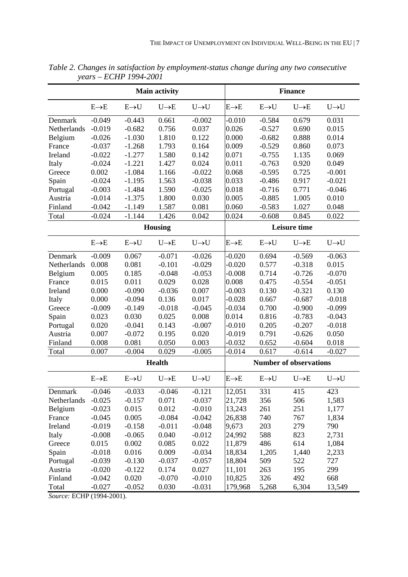|             | <b>Main activity</b> |                  |                   |                   |                               |                  | <b>Finance</b>    |                   |  |  |  |
|-------------|----------------------|------------------|-------------------|-------------------|-------------------------------|------------------|-------------------|-------------------|--|--|--|
|             | $E\rightarrow E$     | $E\rightarrow U$ | $U \rightarrow E$ | $U \rightarrow U$ | $E\rightarrow E$              | $E\rightarrow U$ | $U \rightarrow E$ | $U \rightarrow U$ |  |  |  |
| Denmark     | $-0.049$             | $-0.443$         | 0.661             | $-0.002$          | $-0.010$                      | $-0.584$         | 0.679             | 0.031             |  |  |  |
| Netherlands | $-0.019$             | $-0.682$         | 0.756             | 0.037             | 0.026                         | $-0.527$         | 0.690             | 0.015             |  |  |  |
| Belgium     | $-0.026$             | $-1.030$         | 1.810             | 0.122             | 0.000                         | $-0.682$         | 0.888             | 0.014             |  |  |  |
| France      | $-0.037$             | $-1.268$         | 1.793             | 0.164             | 0.009                         | $-0.529$         | 0.860             | 0.073             |  |  |  |
| Ireland     | $-0.022$             | $-1.277$         | 1.580             | 0.142             | 0.071                         | $-0.755$         | 1.135             | 0.069             |  |  |  |
| Italy       | $-0.024$             | $-1.221$         | 1.427             | 0.024             | 0.011                         | $-0.763$         | 0.920             | 0.049             |  |  |  |
| Greece      | 0.002                | $-1.084$         | 1.166             | $-0.022$          | 0.068                         | $-0.595$         | 0.725             | $-0.001$          |  |  |  |
| Spain       | $-0.024$             | $-1.195$         | 1.563             | $-0.038$          | 0.033                         | $-0.486$         | 0.917             | $-0.021$          |  |  |  |
| Portugal    | $-0.003$             | $-1.484$         | 1.590             | $-0.025$          | 0.018                         | $-0.716$         | 0.771             | $-0.046$          |  |  |  |
| Austria     | $-0.014$             | $-1.375$         | 1.800             | 0.030             | 0.005                         | $-0.885$         | 1.005             | 0.010             |  |  |  |
| Finland     | $-0.042$             | $-1.149$         | 1.587             | 0.081             | 0.060                         | $-0.583$         | 1.027             | 0.048             |  |  |  |
| Total       | $-0.024$             | $-1.144$         | 1.426             | 0.042             | 0.024                         | $-0.608$         | 0.845             | 0.022             |  |  |  |
|             |                      |                  | <b>Housing</b>    |                   |                               |                  | Leisure time      |                   |  |  |  |
|             | $E\rightarrow E$     | $E\rightarrow U$ | $U\rightarrow E$  | $U \rightarrow U$ | $E\rightarrow E$              | $E\rightarrow U$ | $U \rightarrow E$ | $U \rightarrow U$ |  |  |  |
| Denmark     | $-0.009$             | 0.067            | $-0.071$          | $-0.026$          | $-0.020$                      | 0.694            | $-0.569$          | $-0.063$          |  |  |  |
| Netherlands | 0.008                | 0.081            | $-0.101$          | $-0.029$          | $-0.020$                      | 0.577            | $-0.318$          | 0.015             |  |  |  |
| Belgium     | 0.005                | 0.185            | $-0.048$          | $-0.053$          | $-0.008$                      | 0.714            | $-0.726$          | $-0.070$          |  |  |  |
| France      | 0.015                | 0.011            | 0.029             | 0.028             | 0.008                         | 0.475            | $-0.554$          | $-0.051$          |  |  |  |
| Ireland     | 0.000                | $-0.090$         | $-0.036$          | 0.007             | $-0.003$                      | 0.130            | $-0.321$          | 0.130             |  |  |  |
| Italy       | 0.000                | $-0.094$         | 0.136             | 0.017             | $-0.028$                      | 0.667            | $-0.687$          | $-0.018$          |  |  |  |
| Greece      | $-0.009$             | $-0.149$         | $-0.018$          | $-0.045$          | $-0.034$                      | 0.700            | $-0.900$          | $-0.099$          |  |  |  |
| Spain       | 0.023                | 0.030            | 0.025             | 0.008             | 0.014                         | 0.816            | $-0.783$          | $-0.043$          |  |  |  |
| Portugal    | 0.020                | $-0.041$         | 0.143             | $-0.007$          | $-0.010$                      | 0.205            | $-0.207$          | $-0.018$          |  |  |  |
| Austria     | 0.007                | $-0.072$         | 0.195             | 0.020             | $-0.019$                      | 0.791            | $-0.626$          | 0.050             |  |  |  |
| Finland     | 0.008                | 0.081            | 0.050             | 0.003             | $-0.032$                      | 0.652            | $-0.604$          | 0.018             |  |  |  |
| Total       | 0.007                | $-0.004$         | 0.029             | $-0.005$          | $-0.014$                      | 0.617            | $-0.614$          | $-0.027$          |  |  |  |
|             |                      |                  |                   |                   |                               |                  |                   |                   |  |  |  |
|             |                      |                  | <b>Health</b>     |                   | <b>Number of observations</b> |                  |                   |                   |  |  |  |
|             | $E\rightarrow E$     | $E\rightarrow U$ | $U \rightarrow E$ | $U\rightarrow U$  | $E\rightarrow E$              | $E\rightarrow U$ | $U \rightarrow E$ | $U \rightarrow U$ |  |  |  |
| Denmark     | $-0.046$             | $-0.033$         | $-0.046$          | $-0.121$          | 12,051                        | 331              | 415               | 423               |  |  |  |
| Netherlands | $-0.025$             | $-0.157$         | 0.071             | $-0.037$          | 21,728                        | 356              | 506               | 1,583             |  |  |  |
| Belgium     | $-0.023$             | 0.015            | 0.012             | $-0.010$          | 13,243                        | 261              | 251               | 1,177             |  |  |  |
| France      | $-0.045$             | 0.005            | $-0.084$          | $-0.042$          | 26,838                        | 740              | 767               | 1,834             |  |  |  |
| Ireland     | $-0.019$             | $-0.158$         | $-0.011$          | $-0.048$          | 9,673                         | 203              | 279               | 790               |  |  |  |
| Italy       | $-0.008$             | $-0.065$         | 0.040             | $-0.012$          | 24,992                        | 588              | 823               | 2,731             |  |  |  |
| Greece      | 0.015                | 0.002            | 0.085             | 0.022             | 11,879                        | 486              | 614               | 1,084             |  |  |  |
| Spain       | $-0.018$             | 0.016            | 0.009             | $-0.034$          | 18,834                        | 1,205            | 1,440             | 2,233             |  |  |  |
| Portugal    | $-0.039$             | $-0.130$         | $-0.037$          | $-0.057$          | 18,804                        | 509              | 522               | 727               |  |  |  |
| Austria     | $-0.020$             | $-0.122$         | 0.174             | 0.027             | 11,101                        | 263              | 195               | 299               |  |  |  |
| Finland     | $-0.042$             | 0.020            | $-0.070$          | $-0.010$          | 10,825                        | 326              | 492               | 668               |  |  |  |
| Total       | $-0.027$             | $-0.052$         | 0.030             | $-0.031$          | 179,968                       | 5,268            | 6,304             | 13,549            |  |  |  |

*Table 2. Changes in satisfaction by employment-status change during any two consecutive years – ECHP 1994-2001* 

*Source:* ECHP (1994-2001).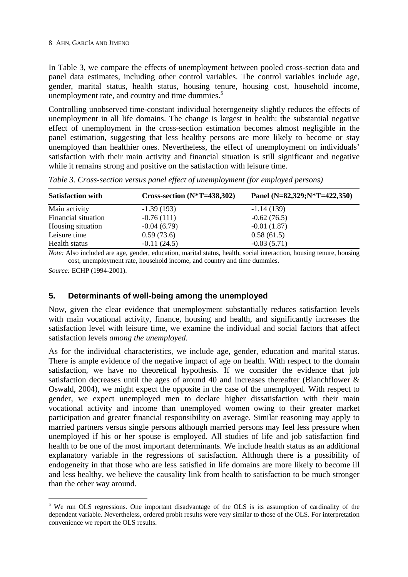In Table 3, we compare the effects of unemployment between pooled cross-section data and panel data estimates, including other control variables. The control variables include age, gender, marital status, health status, housing tenure, housing cost, household income, unemployment rate, and country and time dummies. $5<sup>5</sup>$ 

Controlling unobserved time-constant individual heterogeneity slightly reduces the effects of unemployment in all life domains. The change is largest in health: the substantial negative effect of unemployment in the cross-section estimation becomes almost negligible in the panel estimation, suggesting that less healthy persons are more likely to become or stay unemployed than healthier ones. Nevertheless, the effect of unemployment on individuals' satisfaction with their main activity and financial situation is still significant and negative while it remains strong and positive on the satisfaction with leisure time.

| <b>Satisfaction with</b> | Cross-section $(N^*T=438,302)$ | Panel $(N=82,329;N*T=422,350)$ |
|--------------------------|--------------------------------|--------------------------------|
| Main activity            | $-1.39(193)$                   | $-1.14(139)$                   |
| Financial situation      | $-0.76(111)$                   | $-0.62(76.5)$                  |
| Housing situation        | $-0.04(6.79)$                  | $-0.01(1.87)$                  |
| Leisure time             | 0.59(73.6)                     | 0.58(61.5)                     |
| Health status            | $-0.11(24.5)$                  | $-0.03(5.71)$                  |

*Table 3. Cross-section versus panel effect of unemployment (for employed persons)* 

*Note:* Also included are age, gender, education, marital status, health, social interaction, housing tenure, housing cost, unemployment rate, household income, and country and time dummies.

*Source:* ECHP (1994-2001).

 $\overline{a}$ 

#### **5. Determinants of well-being among the unemployed**

Now, given the clear evidence that unemployment substantially reduces satisfaction levels with main vocational activity, finance, housing and health, and significantly increases the satisfaction level with leisure time, we examine the individual and social factors that affect satisfaction levels *among the unemployed*.

As for the individual characteristics, we include age, gender, education and marital status. There is ample evidence of the negative impact of age on health. With respect to the domain satisfaction, we have no theoretical hypothesis. If we consider the evidence that job satisfaction decreases until the ages of around 40 and increases thereafter (Blanchflower & Oswald, 2004), we might expect the opposite in the case of the unemployed. With respect to gender, we expect unemployed men to declare higher dissatisfaction with their main vocational activity and income than unemployed women owing to their greater market participation and greater financial responsibility on average. Similar reasoning may apply to married partners versus single persons although married persons may feel less pressure when unemployed if his or her spouse is employed. All studies of life and job satisfaction find health to be one of the most important determinants. We include health status as an additional explanatory variable in the regressions of satisfaction. Although there is a possibility of endogeneity in that those who are less satisfied in life domains are more likely to become ill and less healthy, we believe the causality link from health to satisfaction to be much stronger than the other way around.

<sup>&</sup>lt;sup>5</sup> We run OLS regressions. One important disadvantage of the OLS is its assumption of cardinality of the dependent variable. Nevertheless, ordered probit results were very similar to those of the OLS. For interpretation convenience we report the OLS results.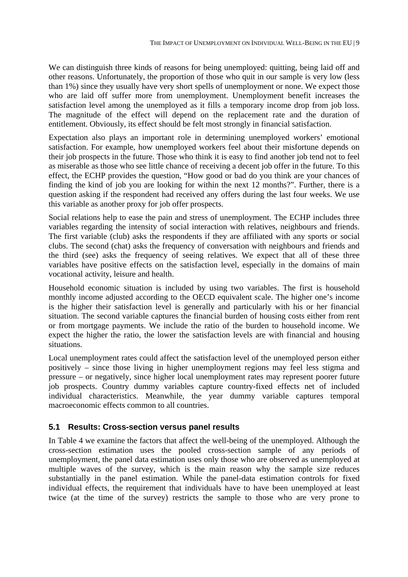We can distinguish three kinds of reasons for being unemployed: quitting, being laid off and other reasons. Unfortunately, the proportion of those who quit in our sample is very low (less than 1%) since they usually have very short spells of unemployment or none. We expect those who are laid off suffer more from unemployment. Unemployment benefit increases the satisfaction level among the unemployed as it fills a temporary income drop from job loss. The magnitude of the effect will depend on the replacement rate and the duration of entitlement. Obviously, its effect should be felt most strongly in financial satisfaction.

Expectation also plays an important role in determining unemployed workers' emotional satisfaction. For example, how unemployed workers feel about their misfortune depends on their job prospects in the future. Those who think it is easy to find another job tend not to feel as miserable as those who see little chance of receiving a decent job offer in the future. To this effect, the ECHP provides the question, "How good or bad do you think are your chances of finding the kind of job you are looking for within the next 12 months?". Further, there is a question asking if the respondent had received any offers during the last four weeks. We use this variable as another proxy for job offer prospects.

Social relations help to ease the pain and stress of unemployment. The ECHP includes three variables regarding the intensity of social interaction with relatives, neighbours and friends. The first variable (club) asks the respondents if they are affiliated with any sports or social clubs. The second (chat) asks the frequency of conversation with neighbours and friends and the third (see) asks the frequency of seeing relatives. We expect that all of these three variables have positive effects on the satisfaction level, especially in the domains of main vocational activity, leisure and health.

Household economic situation is included by using two variables. The first is household monthly income adjusted according to the OECD equivalent scale. The higher one's income is the higher their satisfaction level is generally and particularly with his or her financial situation. The second variable captures the financial burden of housing costs either from rent or from mortgage payments. We include the ratio of the burden to household income. We expect the higher the ratio, the lower the satisfaction levels are with financial and housing situations.

Local unemployment rates could affect the satisfaction level of the unemployed person either positively – since those living in higher unemployment regions may feel less stigma and pressure – or negatively, since higher local unemployment rates may represent poorer future job prospects. Country dummy variables capture country-fixed effects net of included individual characteristics. Meanwhile, the year dummy variable captures temporal macroeconomic effects common to all countries.

#### **5.1 Results: Cross-section versus panel results**

In Table 4 we examine the factors that affect the well-being of the unemployed. Although the cross-section estimation uses the pooled cross-section sample of any periods of unemployment, the panel data estimation uses only those who are observed as unemployed at multiple waves of the survey, which is the main reason why the sample size reduces substantially in the panel estimation. While the panel-data estimation controls for fixed individual effects, the requirement that individuals have to have been unemployed at least twice (at the time of the survey) restricts the sample to those who are very prone to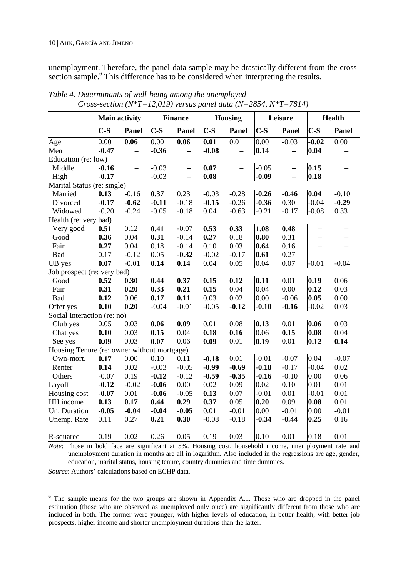unemployment. Therefore, the panel-data sample may be drastically different from the crosssection sample.<sup>6</sup> This difference has to be considered when interpreting the results.

|                                             | <b>Main activity</b> |                          | <b>Finance</b> |                          |                            | <b>Housing</b>    |         | Leisure                  | <b>Health</b>     |                          |
|---------------------------------------------|----------------------|--------------------------|----------------|--------------------------|----------------------------|-------------------|---------|--------------------------|-------------------|--------------------------|
|                                             | $C-S$                | Panel                    | $C-S$          | Panel                    | $C-S$                      | Panel             | $C-S$   | Panel                    | $C-S$             | <b>Panel</b>             |
| Age                                         | 0.00                 | 0.06                     | 0.00           | 0.06                     | $\overline{\mathbf{0.01}}$ | 0.01              | 0.00    | $-0.03$                  | $-0.02$           | 0.00                     |
| Men                                         | $-0.47$              | $\overline{\phantom{0}}$ | $-0.36$        | $\qquad \qquad -$        | $-0.08$                    | $\qquad \qquad -$ | 0.14    | $\overline{\phantom{0}}$ | 0.04              | $\qquad \qquad -$        |
| Education (re: low)                         |                      |                          |                |                          |                            |                   |         |                          |                   |                          |
| Middle                                      | $-0.16$              | $\overline{a}$           | $-0.03$        | $\overline{\phantom{0}}$ | 0.07                       | $\overline{a}$    | $-0.05$ |                          | 0.15              | $\overline{\phantom{0}}$ |
| High                                        | $-0.17$              | $\overline{a}$           | $-0.03$        | $\overline{\phantom{0}}$ | 0.08                       | $\equiv$          | $-0.09$ | $\qquad \qquad -$        | 0.18              |                          |
| Marital Status (re: single)                 |                      |                          |                |                          |                            |                   |         |                          |                   |                          |
| Married                                     | 0.13                 | $-0.16$                  | 0.37           | 0.23                     | $-0.03$                    | $-0.28$           | $-0.26$ | $-0.46$                  | 0.04              | $-0.10$                  |
| Divorced                                    | $-0.17$              | $-0.62$                  | $-0.11$        | $-0.18$                  | $-0.15$                    | $-0.26$           | $-0.36$ | 0.30                     | $-0.04$           | $-0.29$                  |
| Widowed                                     | $-0.20$              | $-0.24$                  | $-0.05$        | $-0.18$                  | 0.04                       | $-0.63$           | $-0.21$ | $-0.17$                  | $-0.08$           | 0.33                     |
| Health (re: very bad)                       |                      |                          |                |                          |                            |                   |         |                          |                   |                          |
| Very good                                   | 0.51                 | 0.12                     | 0.41           | $-0.07$                  | 0.53                       | 0.33              | 1.08    | 0.48                     | $\qquad \qquad -$ | $\qquad \qquad -$        |
| Good                                        | 0.36                 | 0.04                     | 0.31           | $-0.14$                  | 0.27                       | 0.18              | 0.80    | 0.31                     | $=$               |                          |
| Fair                                        | 0.27                 | 0.04                     | 0.18           | $-0.14$                  | 0.10                       | 0.03              | 0.64    | 0.16                     |                   |                          |
| Bad                                         | 0.17                 | $-0.12$                  | 0.05           | $-0.32$                  | $-0.02$                    | $-0.17$           | 0.61    | 0.27                     | $\equiv$          |                          |
| UB yes                                      | 0.07                 | $-0.01$                  | 0.14           | 0.14                     | 0.04                       | 0.05              | 0.04    | 0.07                     | $-0.01$           | $-0.04$                  |
| Job prospect (re: very bad)                 |                      |                          |                |                          |                            |                   |         |                          |                   |                          |
| Good                                        | 0.52                 | 0.30                     | 0.44           | 0.37                     | 0.15                       | 0.12              | 0.11    | 0.01                     | 0.19              | 0.06                     |
| Fair                                        | 0.31                 | 0.20                     | 0.33           | 0.21                     | 0.15                       | 0.04              | 0.04    | 0.00                     | 0.12              | 0.03                     |
| <b>Bad</b>                                  | 0.12                 | 0.06                     | 0.17           | 0.11                     | 0.03                       | 0.02              | 0.00    | $-0.06$                  | 0.05              | 0.00                     |
| Offer yes                                   | 0.10                 | 0.20                     | $-0.04$        | $-0.01$                  | $-0.05$                    | $-0.12$           | $-0.10$ | $-0.16$                  | $-0.02$           | 0.03                     |
| Social Interaction (re: no)                 |                      |                          |                |                          |                            |                   |         |                          |                   |                          |
| Club yes                                    | 0.05                 | 0.03                     | 0.06           | 0.09                     | 0.01                       | 0.08              | 0.13    | 0.01                     | 0.06              | 0.03                     |
| Chat yes                                    | 0.10                 | 0.03                     | 0.15           | 0.04                     | 0.18                       | 0.16              | 0.06    | 0.15                     | 0.08              | 0.04                     |
| See yes                                     | 0.09                 | 0.03                     | 0.07           | 0.06                     | 0.09                       | 0.01              | 0.19    | 0.01                     | 0.12              | 0.14                     |
| Housing Tenure (re: owner without mortgage) |                      |                          |                |                          |                            |                   |         |                          |                   |                          |
| Own-mort.                                   | 0.17                 | 0.00                     | 0.10           | 0.11                     | $-0.18$                    | 0.01              | $-0.01$ | $-0.07$                  | 0.04              | $-0.07$                  |
| Renter                                      | 0.14                 | 0.02                     | $-0.03$        | $-0.05$                  | $-0.99$                    | $-0.69$           | $-0.18$ | $-0.17$                  | $-0.04$           | 0.02                     |
| Others                                      | $-0.07$              | 0.19                     | $-0.12$        | $-0.12$                  | $-0.59$                    | $-0.35$           | $-0.16$ | $-0.10$                  | 0.00              | 0.06                     |
| Layoff                                      | $-0.12$              | $-0.02$                  | $-0.06$        | 0.00                     | 0.02                       | 0.09              | 0.02    | 0.10                     | 0.01              | 0.01                     |
| Housing cost                                | $-0.07$              | 0.01                     | $-0.06$        | $-0.05$                  | 0.13                       | 0.07              | $-0.01$ | 0.01                     | $-0.01$           | 0.01                     |
| HH income                                   | 0.13                 | 0.17                     | 0.44           | 0.29                     | 0.37                       | 0.05              | 0.20    | 0.09                     | 0.08              | 0.01                     |
| Un. Duration                                | $-0.05$              | $-0.04$                  | $-0.04$        | $-0.05$                  | 0.01                       | $-0.01$           | 0.00    | $-0.01$                  | 0.00              | $-0.01$                  |
| Unemp. Rate                                 | 0.11                 | 0.27                     | 0.21           | 0.30                     | $-0.08$                    | $-0.18$           | $-0.34$ | $-0.44$                  | 0.25              | 0.16                     |
| R-squared                                   | 0.19                 | 0.02                     | 0.26           | 0.05                     | 0.19                       | 0.03              | 0.10    | 0.01                     | 0.18              | 0.01                     |

*Table 4. Determinants of well-being among the unemployed Cross-section (N\*T=12,019) versus panel data (N=2854, N\*T=7814)* 

*Note*: Those in bold face are significant at 5%. Housing cost, household income, unemployment rate and unemployment duration in months are all in logarithm. Also included in the regressions are age, gender, education, marital status, housing tenure, country dummies and time dummies.

*Source*: Authors' calculations based on ECHP data.

 $\overline{a}$ 

<sup>&</sup>lt;sup>6</sup> The sample means for the two groups are shown in Appendix A.1. Those who are dropped in the panel estimation (those who are observed as unemployed only once) are significantly different from those who are included in both. The former were younger, with higher levels of education, in better health, with better job prospects, higher income and shorter unemployment durations than the latter.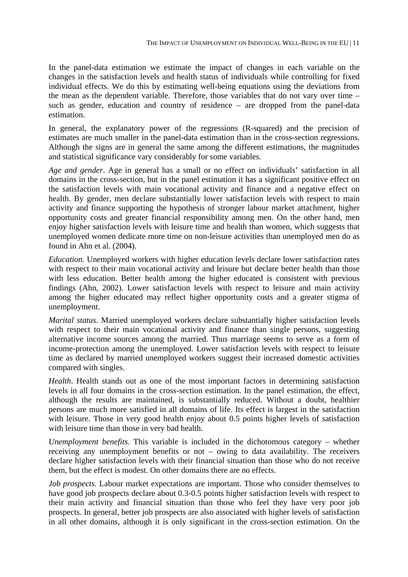In the panel-data estimation we estimate the impact of changes in each variable on the changes in the satisfaction levels and health status of individuals while controlling for fixed individual effects. We do this by estimating well-being equations using the deviations from the mean as the dependent variable. Therefore, those variables that do not vary over time – such as gender, education and country of residence – are dropped from the panel-data estimation.

In general, the explanatory power of the regressions (R-squared) and the precision of estimates are much smaller in the panel-data estimation than in the cross-section regressions. Although the signs are in general the same among the different estimations, the magnitudes and statistical significance vary considerably for some variables.

*Age and gender*. Age in general has a small or no effect on individuals' satisfaction in all domains in the cross-section, but in the panel estimation it has a significant positive effect on the satisfaction levels with main vocational activity and finance and a negative effect on health. By gender, men declare substantially lower satisfaction levels with respect to main activity and finance supporting the hypothesis of stronger labour market attachment, higher opportunity costs and greater financial responsibility among men. On the other hand, men enjoy higher satisfaction levels with leisure time and health than women, which suggests that unemployed women dedicate more time on non-leisure activities than unemployed men do as found in Ahn et al. (2004).

*Education.* Unemployed workers with higher education levels declare lower satisfaction rates with respect to their main vocational activity and leisure but declare better health than those with less education. Better health among the higher educated is consistent with previous findings (Ahn, 2002). Lower satisfaction levels with respect to leisure and main activity among the higher educated may reflect higher opportunity costs and a greater stigma of unemployment.

*Marital status*. Married unemployed workers declare substantially higher satisfaction levels with respect to their main vocational activity and finance than single persons, suggesting alternative income sources among the married. Thus marriage seems to serve as a form of income-protection among the unemployed. Lower satisfaction levels with respect to leisure time as declared by married unemployed workers suggest their increased domestic activities compared with singles.

*Health*. Health stands out as one of the most important factors in determining satisfaction levels in all four domains in the cross-section estimation. In the panel estimation, the effect, although the results are maintained, is substantially reduced. Without a doubt, healthier persons are much more satisfied in all domains of life. Its effect is largest in the satisfaction with leisure. Those in very good health enjoy about 0.5 points higher levels of satisfaction with leisure time than those in very bad health.

*Unemployment benefits.* This variable is included in the dichotomous category – whether receiving any unemployment benefits or not – owing to data availability. The receivers declare higher satisfaction levels with their financial situation than those who do not receive them, but the effect is modest. On other domains there are no effects.

*Job prospects.* Labour market expectations are important. Those who consider themselves to have good job prospects declare about 0.3-0.5 points higher satisfaction levels with respect to their main activity and financial situation than those who feel they have very poor job prospects. In general, better job prospects are also associated with higher levels of satisfaction in all other domains, although it is only significant in the cross-section estimation. On the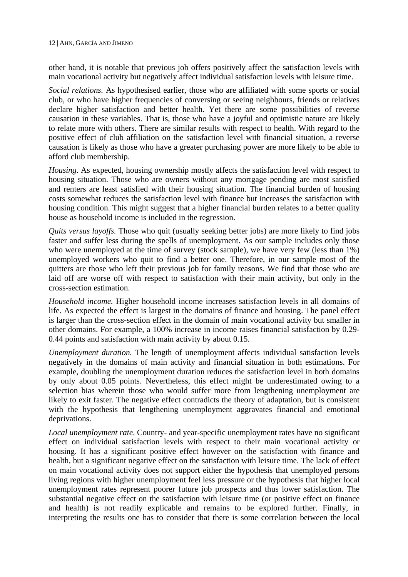other hand, it is notable that previous job offers positively affect the satisfaction levels with main vocational activity but negatively affect individual satisfaction levels with leisure time.

*Social relations.* As hypothesised earlier, those who are affiliated with some sports or social club, or who have higher frequencies of conversing or seeing neighbours, friends or relatives declare higher satisfaction and better health. Yet there are some possibilities of reverse causation in these variables. That is, those who have a joyful and optimistic nature are likely to relate more with others. There are similar results with respect to health. With regard to the positive effect of club affiliation on the satisfaction level with financial situation, a reverse causation is likely as those who have a greater purchasing power are more likely to be able to afford club membership.

*Housing.* As expected, housing ownership mostly affects the satisfaction level with respect to housing situation. Those who are owners without any mortgage pending are most satisfied and renters are least satisfied with their housing situation. The financial burden of housing costs somewhat reduces the satisfaction level with finance but increases the satisfaction with housing condition. This might suggest that a higher financial burden relates to a better quality house as household income is included in the regression.

*Quits versus layoffs.* Those who quit (usually seeking better jobs) are more likely to find jobs faster and suffer less during the spells of unemployment. As our sample includes only those who were unemployed at the time of survey (stock sample), we have very few (less than 1%) unemployed workers who quit to find a better one. Therefore, in our sample most of the quitters are those who left their previous job for family reasons. We find that those who are laid off are worse off with respect to satisfaction with their main activity, but only in the cross-section estimation.

*Household income.* Higher household income increases satisfaction levels in all domains of life. As expected the effect is largest in the domains of finance and housing. The panel effect is larger than the cross-section effect in the domain of main vocational activity but smaller in other domains. For example, a 100% increase in income raises financial satisfaction by 0.29- 0.44 points and satisfaction with main activity by about 0.15.

*Unemployment duration.* The length of unemployment affects individual satisfaction levels negatively in the domains of main activity and financial situation in both estimations. For example, doubling the unemployment duration reduces the satisfaction level in both domains by only about 0.05 points. Nevertheless, this effect might be underestimated owing to a selection bias wherein those who would suffer more from lengthening unemployment are likely to exit faster. The negative effect contradicts the theory of adaptation, but is consistent with the hypothesis that lengthening unemployment aggravates financial and emotional deprivations.

*Local unemployment rate*. Country- and year-specific unemployment rates have no significant effect on individual satisfaction levels with respect to their main vocational activity or housing. It has a significant positive effect however on the satisfaction with finance and health, but a significant negative effect on the satisfaction with leisure time. The lack of effect on main vocational activity does not support either the hypothesis that unemployed persons living regions with higher unemployment feel less pressure or the hypothesis that higher local unemployment rates represent poorer future job prospects and thus lower satisfaction. The substantial negative effect on the satisfaction with leisure time (or positive effect on finance and health) is not readily explicable and remains to be explored further. Finally, in interpreting the results one has to consider that there is some correlation between the local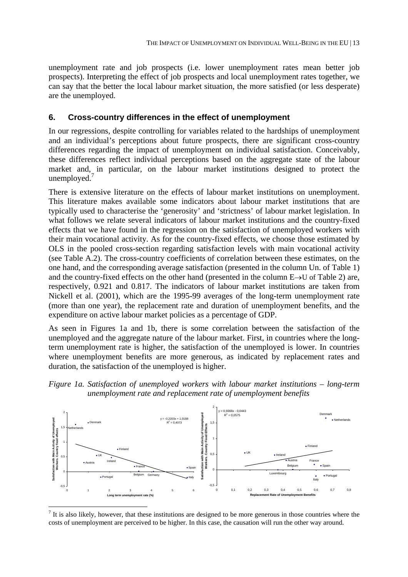unemployment rate and job prospects (i.e. lower unemployment rates mean better job prospects). Interpreting the effect of job prospects and local unemployment rates together, we can say that the better the local labour market situation, the more satisfied (or less desperate) are the unemployed.

#### **6. Cross-country differences in the effect of unemployment**

In our regressions, despite controlling for variables related to the hardships of unemployment and an individual's perceptions about future prospects, there are significant cross-country differences regarding the impact of unemployment on individual satisfaction. Conceivably, these differences reflect individual perceptions based on the aggregate state of the labour market and, in particular, on the labour market institutions designed to protect the unemployed. $<sup>7</sup>$ </sup>

There is extensive literature on the effects of labour market institutions on unemployment. This literature makes available some indicators about labour market institutions that are typically used to characterise the 'generosity' and 'strictness' of labour market legislation. In what follows we relate several indicators of labour market institutions and the country-fixed effects that we have found in the regression on the satisfaction of unemployed workers with their main vocational activity. As for the country-fixed effects, we choose those estimated by OLS in the pooled cross-section regarding satisfaction levels with main vocational activity (see Table A.2). The cross-country coefficients of correlation between these estimates, on the one hand, and the corresponding average satisfaction (presented in the column Un. of Table 1) and the country-fixed effects on the other hand (presented in the column E→U of Table 2) are, respectively, 0.921 and 0.817. The indicators of labour market institutions are taken from Nickell et al. (2001), which are the 1995-99 averages of the long-term unemployment rate (more than one year), the replacement rate and duration of unemployment benefits, and the expenditure on active labour market policies as a percentage of GDP.

As seen in Figures 1a and 1b, there is some correlation between the satisfaction of the unemployed and the aggregate nature of the labour market. First, in countries where the longterm unemployment rate is higher, the satisfaction of the unemployed is lower. In countries where unemployment benefits are more generous, as indicated by replacement rates and duration, the satisfaction of the unemployed is higher.





 $<sup>7</sup>$  It is also likely, however, that these institutions are designed to be more generous in those countries where the</sup> costs of unemployment are perceived to be higher. In this case, the causation will run the other way around.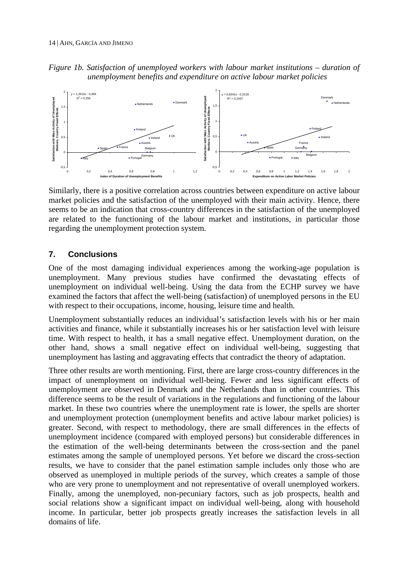



Similarly, there is a positive correlation across countries between expenditure on active labour market policies and the satisfaction of the unemployed with their main activity. Hence, there seems to be an indication that cross-country differences in the satisfaction of the unemployed are related to the functioning of the labour market and institutions, in particular those regarding the unemployment protection system.

#### **7. Conclusions**

One of the most damaging individual experiences among the working-age population is unemployment. Many previous studies have confirmed the devastating effects of unemployment on individual well-being. Using the data from the ECHP survey we have examined the factors that affect the well-being (satisfaction) of unemployed persons in the EU with respect to their occupations, income, housing, leisure time and health.

Unemployment substantially reduces an individual's satisfaction levels with his or her main activities and finance, while it substantially increases his or her satisfaction level with leisure time. With respect to health, it has a small negative effect. Unemployment duration, on the other hand, shows a small negative effect on individual well-being, suggesting that unemployment has lasting and aggravating effects that contradict the theory of adaptation.

Three other results are worth mentioning. First, there are large cross-country differences in the impact of unemployment on individual well-being. Fewer and less significant effects of unemployment are observed in Denmark and the Netherlands than in other countries. This difference seems to be the result of variations in the regulations and functioning of the labour market. In these two countries where the unemployment rate is lower, the spells are shorter and unemployment protection (unemployment benefits and active labour market policies) is greater. Second, with respect to methodology, there are small differences in the effects of unemployment incidence (compared with employed persons) but considerable differences in the estimation of the well-being determinants between the cross-section and the panel estimates among the sample of unemployed persons. Yet before we discard the cross-section results, we have to consider that the panel estimation sample includes only those who are observed as unemployed in multiple periods of the survey, which creates a sample of those who are very prone to unemployment and not representative of overall unemployed workers. Finally, among the unemployed, non-pecuniary factors, such as job prospects, health and social relations show a significant impact on individual well-being, along with household income. In particular, better job prospects greatly increases the satisfaction levels in all domains of life.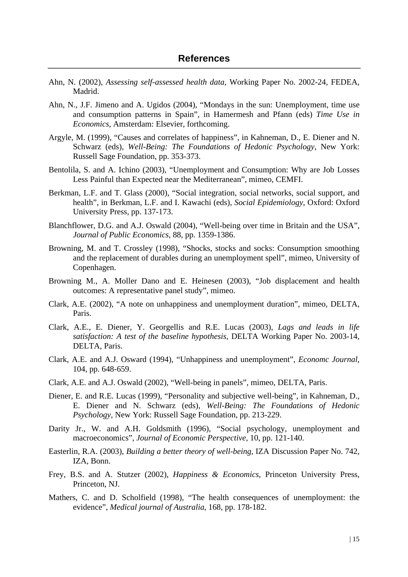- Ahn, N. (2002), *Assessing self-assessed health data,* Working Paper No. 2002-24, FEDEA, Madrid.
- Ahn, N., J.F. Jimeno and A. Ugidos (2004), "Mondays in the sun: Unemployment, time use and consumption patterns in Spain", in Hamermesh and Pfann (eds) *Time Use in Economics*, Amsterdam: Elsevier, forthcoming.
- Argyle, M. (1999), "Causes and correlates of happiness", in Kahneman, D., E. Diener and N. Schwarz (eds), *Well-Being: The Foundations of Hedonic Psychology*, New York: Russell Sage Foundation, pp. 353-373.
- Bentolila, S. and A. Ichino (2003), "Unemployment and Consumption: Why are Job Losses Less Painful than Expected near the Mediterranean", mimeo, CEMFI.
- Berkman, L.F. and T. Glass (2000), "Social integration, social networks, social support, and health", in Berkman, L.F. and I. Kawachi (eds), *Social Epidemiology*, Oxford: Oxford University Press, pp. 137-173.
- Blanchflower, D.G. and A.J. Oswald (2004), "Well-being over time in Britain and the USA", *Journal of Public Economics,* 88, pp. 1359-1386.
- Browning, M. and T. Crossley (1998), "Shocks, stocks and socks: Consumption smoothing and the replacement of durables during an unemployment spell", mimeo, University of Copenhagen.
- Browning M., A. Moller Dano and E. Heinesen (2003), "Job displacement and health outcomes: A representative panel study", mimeo.
- Clark, A.E. (2002), "A note on unhappiness and unemployment duration", mimeo, DELTA, Paris.
- Clark, A.E., E. Diener, Y. Georgellis and R.E. Lucas (2003), *Lags and leads in life satisfaction: A test of the baseline hypothesis*, DELTA Working Paper No. 2003-14, DELTA, Paris.
- Clark, A.E. and A.J. Osward (1994), "Unhappiness and unemployment", *Economc Journal*, 104, pp. 648-659.
- Clark, A.E. and A.J. Oswald (2002), "Well-being in panels", mimeo, DELTA, Paris.
- Diener, E. and R.E. Lucas (1999), "Personality and subjective well-being", in Kahneman, D., E. Diener and N. Schwarz (eds), *Well-Being: The Foundations of Hedonic Psychology,* New York: Russell Sage Foundation, pp. 213-229.
- Darity Jr., W. and A.H. Goldsmith (1996), "Social psychology, unemployment and macroeconomics", *Journal of Economic Perspective,* 10, pp. 121-140.
- Easterlin, R.A. (2003), *Building a better theory of well-being*, IZA Discussion Paper No. 742, IZA, Bonn.
- Frey, B.S. and A. Stutzer (2002), *Happiness & Economics*, Princeton University Press, Princeton, NJ.
- Mathers, C. and D. Scholfield (1998), "The health consequences of unemployment: the evidence", *Medical journal of Australia*, 168, pp. 178-182.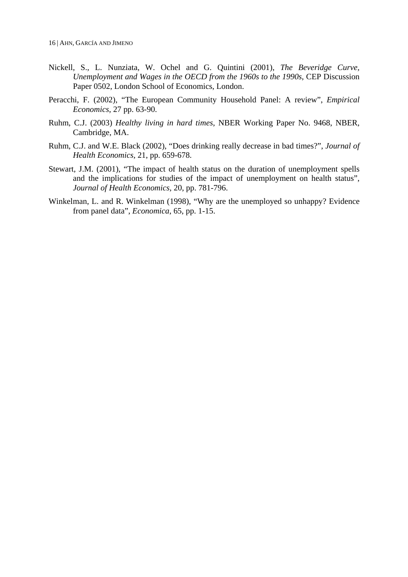- Nickell, S., L. Nunziata, W. Ochel and G. Quintini (2001), *The Beveridge Curve, Unemployment and Wages in the OECD from the 1960s to the 1990s*, CEP Discussion Paper 0502, London School of Economics, London.
- Peracchi, F. (2002), "The European Community Household Panel: A review", *Empirical Economics*, 27 pp. 63-90.
- Ruhm, C.J. (2003) *Healthy living in hard times*, NBER Working Paper No. 9468, NBER, Cambridge, MA.
- Ruhm, C.J. and W.E. Black (2002), "Does drinking really decrease in bad times?", *Journal of Health Economics*, 21, pp. 659-678.
- Stewart, J.M. (2001), "The impact of health status on the duration of unemployment spells and the implications for studies of the impact of unemployment on health status", *Journal of Health Economics,* 20, pp. 781-796.
- Winkelman, L. and R. Winkelman (1998), "Why are the unemployed so unhappy? Evidence from panel data", *Economica*, 65, pp. 1-15.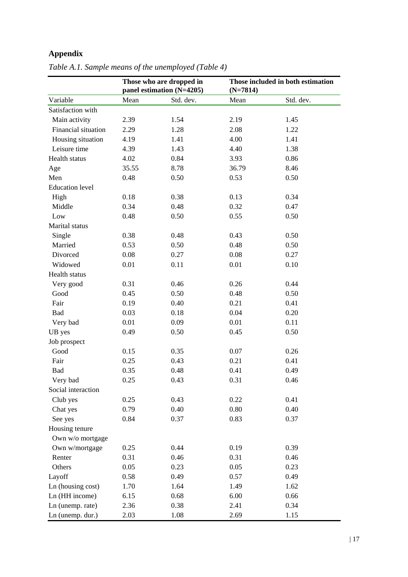## **Appendix**

|                        |       | Those who are dropped in<br>panel estimation (N=4205) | $(N=7814)$ | Those included in both estimation |
|------------------------|-------|-------------------------------------------------------|------------|-----------------------------------|
| Variable               | Mean  | Std. dev.                                             | Mean       | Std. dev.                         |
| Satisfaction with      |       |                                                       |            |                                   |
| Main activity          | 2.39  | 1.54                                                  | 2.19       | 1.45                              |
| Financial situation    | 2.29  | 1.28                                                  | 2.08       | 1.22                              |
| Housing situation      | 4.19  | 1.41                                                  | 4.00       | 1.41                              |
| Leisure time           | 4.39  | 1.43                                                  | 4.40       | 1.38                              |
| Health status          | 4.02  | 0.84                                                  | 3.93       | 0.86                              |
| Age                    | 35.55 | 8.78                                                  | 36.79      | 8.46                              |
| Men                    | 0.48  | 0.50                                                  | 0.53       | 0.50                              |
| <b>Education</b> level |       |                                                       |            |                                   |
| High                   | 0.18  | 0.38                                                  | 0.13       | 0.34                              |
| Middle                 | 0.34  | 0.48                                                  | 0.32       | 0.47                              |
| Low                    | 0.48  | 0.50                                                  | 0.55       | 0.50                              |
| Marital status         |       |                                                       |            |                                   |
| Single                 | 0.38  | 0.48                                                  | 0.43       | 0.50                              |
| Married                | 0.53  | 0.50                                                  | 0.48       | 0.50                              |
| Divorced               | 0.08  | 0.27                                                  | 0.08       | 0.27                              |
| Widowed                | 0.01  | 0.11                                                  | 0.01       | 0.10                              |
| Health status          |       |                                                       |            |                                   |
| Very good              | 0.31  | 0.46                                                  | 0.26       | 0.44                              |
| Good                   | 0.45  | 0.50                                                  | 0.48       | 0.50                              |
| Fair                   | 0.19  | 0.40                                                  | 0.21       | 0.41                              |
| Bad                    | 0.03  | 0.18                                                  | 0.04       | 0.20                              |
| Very bad               | 0.01  | 0.09                                                  | 0.01       | 0.11                              |
| UB yes                 | 0.49  | 0.50                                                  | 0.45       | 0.50                              |
| Job prospect           |       |                                                       |            |                                   |
| Good                   | 0.15  | 0.35                                                  | 0.07       | 0.26                              |
| Fair                   | 0.25  | 0.43                                                  | 0.21       | 0.41                              |
| Bad                    | 0.35  | 0.48                                                  | 0.41       | 0.49                              |
| Very bad               | 0.25  | 0.43                                                  | 0.31       | 0.46                              |
| Social interaction     |       |                                                       |            |                                   |
| Club yes               | 0.25  | 0.43                                                  | 0.22       | 0.41                              |
| Chat yes               | 0.79  | 0.40                                                  | 0.80       | 0.40                              |
| See yes                | 0.84  | 0.37                                                  | 0.83       | 0.37                              |
| Housing tenure         |       |                                                       |            |                                   |
| Own w/o mortgage       |       |                                                       |            |                                   |
| Own w/mortgage         | 0.25  | 0.44                                                  | 0.19       | 0.39                              |
| Renter                 | 0.31  | 0.46                                                  | 0.31       | 0.46                              |
| Others                 | 0.05  | 0.23                                                  | 0.05       | 0.23                              |
| Layoff                 | 0.58  | 0.49                                                  | 0.57       | 0.49                              |
| Ln (housing cost)      | 1.70  | 1.64                                                  | 1.49       | 1.62                              |
| Ln (HH income)         | 6.15  | 0.68                                                  | 6.00       | 0.66                              |
| Ln (unemp. rate)       | 2.36  | 0.38                                                  | 2.41       | 0.34                              |
| Ln (unemp. dur.)       | 2.03  | 1.08                                                  | 2.69       | 1.15                              |
|                        |       |                                                       |            |                                   |

*Table A.1. Sample means of the unemployed (Table 4)*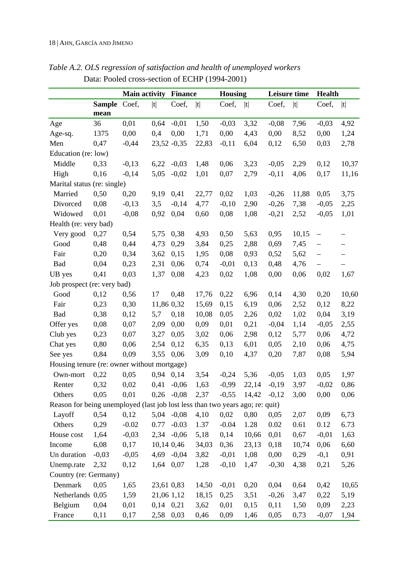|                                                                               |         | <b>Main activity</b><br><b>Finance</b> |               |                | <b>Housing</b> |         | Leisure time          |         | <b>Health</b> |                          |                          |
|-------------------------------------------------------------------------------|---------|----------------------------------------|---------------|----------------|----------------|---------|-----------------------|---------|---------------|--------------------------|--------------------------|
|                                                                               | Sample  | Coef,                                  | t             | Coef,          | t              | Coef,   | t                     | Coef,   | t             | Coef,                    | t                        |
|                                                                               | mean    |                                        |               |                |                |         |                       |         |               |                          |                          |
| Age                                                                           | 36      | 0,01                                   | 0,64          | $-0,01$        | 1,50           | $-0,03$ | 3,32                  | $-0,08$ | 7,96          | $-0,03$                  | 4,92                     |
| Age-sq.                                                                       | 1375    | 0,00                                   | 0,4           | 0,00           | 1,71           | 0,00    | 4,43                  | 0,00    | 8,52          | 0,00                     | 1,24                     |
| Men                                                                           | 0,47    | $-0,44$                                |               | $23,52 -0,35$  | 22,83          | $-0,11$ | 6,04                  | 0,12    | 6,50          | 0,03                     | 2,78                     |
| Education (re: low)                                                           |         |                                        |               |                |                |         |                       |         |               |                          |                          |
| Middle                                                                        | 0,33    | $-0,13$                                | 6,22          | $-0,03$        | 1,48           | 0,06    | 3,23                  | $-0,05$ | 2,29          | 0,12                     | 10,37                    |
| High                                                                          | 0,16    | $-0,14$                                | 5,05          | $-0,02$        | 1,01           | 0,07    | 2,79                  | $-0,11$ | 4,06          | 0,17                     | 11,16                    |
| Marital status (re: single)                                                   |         |                                        |               |                |                |         |                       |         |               |                          |                          |
| Married                                                                       | 0,50    | 0,20                                   | 9,19          | 0,41           | 22,77          | 0,02    | 1,03                  | $-0,26$ | 11,88         | 0,05                     | 3,75                     |
| Divorced                                                                      | 0,08    | $-0,13$                                | 3,5           | $-0,14$        | 4,77           | $-0,10$ | 2,90                  | $-0,26$ | 7,38          | $-0,05$                  | 2,25                     |
| Widowed                                                                       | 0,01    | $-0,08$                                | 0,92          | 0,04           | 0,60           | 0,08    | 1,08                  | $-0,21$ | 2,52          | $-0,05$                  | 1,01                     |
| Health (re: very bad)                                                         |         |                                        |               |                |                |         |                       |         |               |                          |                          |
| Very good                                                                     | 0,27    | 0,54                                   | 5,75          | 0,38           | 4,93           | 0,50    | 5,63                  | 0,95    | 10,15         | $\qquad \qquad -$        | $\overline{\phantom{0}}$ |
| Good                                                                          | 0,48    | 0,44                                   | 4,73          | 0,29           | 3,84           | 0,25    | 2,88                  | 0,69    | 7,45          | $\overline{\phantom{0}}$ | —                        |
| Fair                                                                          | 0,20    | 0,34                                   | 3,62          | 0,15           | 1,95           | 0,08    | 0,93                  | 0,52    | 5,62          | $\overline{\phantom{0}}$ | —                        |
| Bad                                                                           | 0,04    | 0,23                                   | 2,31          | 0,06           | 0,74           | $-0,01$ | 0,13                  | 0,48    | 4,76          | $\qquad \qquad -$        |                          |
| UB yes                                                                        | 0,41    | 0,03                                   | 1,37          | 0,08           | 4,23           | 0,02    | 1,08                  | 0,00    | 0,06          | 0,02                     | 1,67                     |
| Job prospect (re: very bad)                                                   |         |                                        |               |                |                |         |                       |         |               |                          |                          |
| Good                                                                          | 0,12    | 0,56                                   | 17            | 0,48           | 17,76          | 0,22    | 6,96                  | 0,14    | 4,30          | 0,20                     | 10,60                    |
| Fair                                                                          | 0,23    | 0,30                                   | 11,86 0,32    |                | 15,69          | 0,15    | 6,19                  | 0,06    | 2,52          | 0,12                     | 8,22                     |
| Bad                                                                           | 0,38    | 0,12                                   | 5,7           | 0,18           | 10,08          | 0,05    | 2,26                  | 0,02    | 1,02          | 0,04                     | 3,19                     |
| Offer yes                                                                     | 0,08    | 0,07                                   | 2,09          | 0,00           | 0,09           | 0,01    | 0,21                  | $-0,04$ | 1,14          | $-0,05$                  | 2,55                     |
| Club yes                                                                      | 0,23    | 0,07                                   | 3,27          | 0,05           | 3,02           | 0,06    | 2,98                  | 0,12    | 5,77          | 0,06                     | 4,72                     |
| Chat yes                                                                      | 0,80    | 0,06                                   | 2,54          | 0,12           | 6,35           | 0,13    | 6,01                  | 0,05    | 2,10          | 0,06                     | 4,75                     |
| See yes                                                                       | 0,84    | 0,09                                   | 3,55          | 0,06           | 3,09           | 0,10    | 4,37                  | 0,20    | 7,87          | 0,08                     | 5,94                     |
| Housing tenure (re: owner without mortgage)                                   |         |                                        |               |                |                |         |                       |         |               |                          |                          |
| Own-mort                                                                      | 0,22    | 0,05                                   | 0,94          | 0,14           | 3,54           | $-0,24$ | 5,36                  | $-0,05$ | 1,03          | 0,05                     | 1,97                     |
| Renter                                                                        | 0,32    | 0,02                                   | 0,41          | $-0,06$        | 1,63           | $-0,99$ | 22,14                 | $-0,19$ | 3,97          | $-0,02$                  | 0,86                     |
| Others                                                                        | 0,05    | 0,01                                   |               | $0,26$ -0,08   | 2,37           |         | $-0,55$ 14,42 $-0,12$ |         | 3,00          | 0,00                     | 0,06                     |
| Reason for being unemployed (last job lost less than two years ago; re: quit) |         |                                        |               |                |                |         |                       |         |               |                          |                          |
| Layoff                                                                        | 0,54    | 0,12                                   |               | $5,04$ $-0,08$ | 4,10           | 0,02    | 0,80                  | 0,05    | 2,07          | 0,09                     | 6,73                     |
| Others                                                                        | 0,29    | $-0.02$                                | 0.77          | $-0.03$        | 1.37           | $-0.04$ | 1.28                  | 0.02    | 0.61          | 0.12                     | 6.73                     |
| House cost                                                                    | 1,64    | $-0,03$                                |               | $2,34 -0,06$   | 5,18           | 0,14    | 10,66                 | 0,01    | 0,67          | $-0,01$                  | 1,63                     |
| Income                                                                        | 6,08    | 0,17                                   | 10,14 0,46    |                | 34,03          | 0,36    | 23,13                 | 0,18    | 10,74         | 0,06                     | 6,60                     |
| Un duration                                                                   | $-0,03$ | $-0,05$                                |               | 4,69 -0,04     | 3,82           | $-0,01$ | 1,08                  | 0,00    | 0,29          | $-0,1$                   | 0,91                     |
| Unemp.rate                                                                    | 2,32    | 0,12                                   | 1,64          | 0,07           | 1,28           | $-0,10$ | 1,47                  | $-0,30$ | 4,38          | 0,21                     | 5,26                     |
| Country (re: Germany)                                                         |         |                                        |               |                |                |         |                       |         |               |                          |                          |
| Denmark                                                                       | 0,05    | 1,65                                   | 23,61 0,83    |                | 14,50          | $-0,01$ | 0,20                  | 0,04    | 0,64          | 0,42                     | 10,65                    |
| Netherlands 0,05                                                              |         | 1,59                                   | 21,06 1,12    |                | 18,15          | 0,25    | 3,51                  | $-0,26$ | 3,47          | 0,22                     | 5,19                     |
| Belgium                                                                       | 0,04    | 0,01                                   | $0,14$ $0,21$ |                | 3,62           | 0,01    | 0,15                  | 0,11    | 1,50          | 0,09                     | 2,23                     |
| France                                                                        | 0,11    | 0,17                                   | 2,58          | 0,03           | 0,46           | 0,09    | 1,46                  | 0,05    | 0,73          | $-0,07$                  | 1,94                     |

*Table A.2. OLS regression of satisfaction and health of unemployed workers*  Data: Pooled cross-section of ECHP (1994-2001)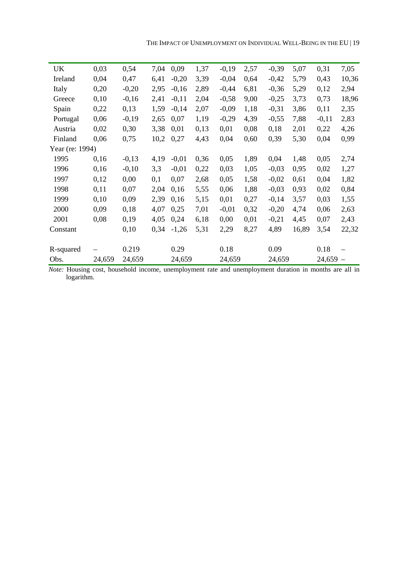| UK              | 0,03   | 0,54    | 7,04 | 0,09    | 1,37 | $-0,19$ | 2,57 | $-0,39$ | 5,07  | 0,31       | 7,05  |
|-----------------|--------|---------|------|---------|------|---------|------|---------|-------|------------|-------|
| Ireland         | 0,04   | 0,47    | 6,41 | $-0,20$ | 3,39 | $-0,04$ | 0,64 | $-0,42$ | 5,79  | 0,43       | 10,36 |
| Italy           | 0,20   | $-0,20$ | 2,95 | $-0,16$ | 2,89 | $-0,44$ | 6,81 | $-0,36$ | 5,29  | 0,12       | 2,94  |
| Greece          | 0,10   | $-0,16$ | 2,41 | $-0,11$ | 2,04 | $-0,58$ | 9,00 | $-0,25$ | 3,73  | 0,73       | 18,96 |
| Spain           | 0,22   | 0,13    | 1,59 | $-0,14$ | 2,07 | $-0,09$ | 1,18 | $-0,31$ | 3,86  | 0,11       | 2,35  |
| Portugal        | 0,06   | $-0,19$ | 2,65 | 0,07    | 1,19 | $-0,29$ | 4,39 | $-0,55$ | 7,88  | $-0,11$    | 2,83  |
| Austria         | 0,02   | 0,30    | 3,38 | 0,01    | 0,13 | 0,01    | 0,08 | 0,18    | 2,01  | 0,22       | 4,26  |
| Finland         | 0,06   | 0,75    | 10,2 | 0,27    | 4,43 | 0,04    | 0,60 | 0,39    | 5,30  | 0,04       | 0,99  |
| Year (re: 1994) |        |         |      |         |      |         |      |         |       |            |       |
| 1995            | 0,16   | $-0,13$ | 4,19 | $-0,01$ | 0,36 | 0,05    | 1,89 | 0,04    | 1,48  | 0,05       | 2,74  |
| 1996            | 0,16   | $-0,10$ | 3,3  | $-0.01$ | 0,22 | 0,03    | 1,05 | $-0,03$ | 0,95  | 0,02       | 1,27  |
| 1997            | 0,12   | 0,00    | 0,1  | 0,07    | 2,68 | 0,05    | 1,58 | $-0,02$ | 0,61  | 0,04       | 1,82  |
| 1998            | 0,11   | 0,07    | 2,04 | 0,16    | 5,55 | 0,06    | 1,88 | $-0,03$ | 0,93  | 0,02       | 0,84  |
| 1999            | 0,10   | 0,09    | 2,39 | 0,16    | 5,15 | 0,01    | 0,27 | $-0,14$ | 3,57  | 0,03       | 1,55  |
| 2000            | 0,09   | 0,18    | 4,07 | 0,25    | 7,01 | $-0,01$ | 0,32 | $-0,20$ | 4,74  | 0,06       | 2,63  |
| 2001            | 0,08   | 0,19    | 4,05 | 0,24    | 6,18 | 0,00    | 0,01 | $-0,21$ | 4,45  | 0,07       | 2,43  |
| Constant        |        | 0,10    | 0,34 | $-1,26$ | 5,31 | 2,29    | 8,27 | 4,89    | 16,89 | 3,54       | 22,32 |
|                 |        |         |      |         |      |         |      |         |       |            |       |
| R-squared       |        | 0.219   |      | 0.29    |      | 0.18    |      | 0.09    |       | 0.18       |       |
| Obs.            | 24,659 | 24,659  |      | 24,659  |      | 24,659  |      | 24,659  |       | $24,659 -$ |       |

*Note:* Housing cost, household income, unemployment rate and unemployment duration in months are all in logarithm.